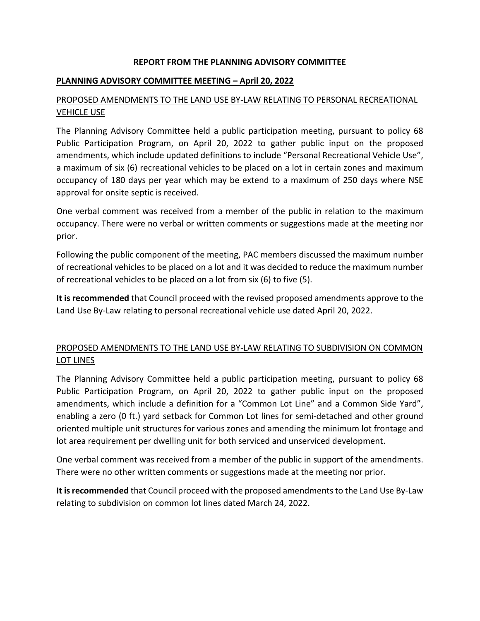#### **REPORT FROM THE PLANNING ADVISORY COMMITTEE**

#### **PLANNING ADVISORY COMMITTEE MEETING – April 20, 2022**

# PROPOSED AMENDMENTS TO THE LAND USE BY-LAW RELATING TO PERSONAL RECREATIONAL VEHICLE USE

The Planning Advisory Committee held a public participation meeting, pursuant to policy 68 Public Participation Program, on April 20, 2022 to gather public input on the proposed amendments, which include updated definitions to include "Personal Recreational Vehicle Use", a maximum of six (6) recreational vehicles to be placed on a lot in certain zones and maximum occupancy of 180 days per year which may be extend to a maximum of 250 days where NSE approval for onsite septic is received.

One verbal comment was received from a member of the public in relation to the maximum occupancy. There were no verbal or written comments or suggestions made at the meeting nor prior.

Following the public component of the meeting, PAC members discussed the maximum number of recreational vehicles to be placed on a lot and it was decided to reduce the maximum number of recreational vehicles to be placed on a lot from six (6) to five (5).

**It is recommended** that Council proceed with the revised proposed amendments approve to the Land Use By-Law relating to personal recreational vehicle use dated April 20, 2022.

# PROPOSED AMENDMENTS TO THE LAND USE BY-LAW RELATING TO SUBDIVISION ON COMMON LOT LINES

The Planning Advisory Committee held a public participation meeting, pursuant to policy 68 Public Participation Program, on April 20, 2022 to gather public input on the proposed amendments, which include a definition for a "Common Lot Line" and a Common Side Yard", enabling a zero (0 ft.) yard setback for Common Lot lines for semi-detached and other ground oriented multiple unit structures for various zones and amending the minimum lot frontage and lot area requirement per dwelling unit for both serviced and unserviced development.

One verbal comment was received from a member of the public in support of the amendments. There were no other written comments or suggestions made at the meeting nor prior.

It is recommended that Council proceed with the proposed amendments to the Land Use By-Law relating to subdivision on common lot lines dated March 24, 2022.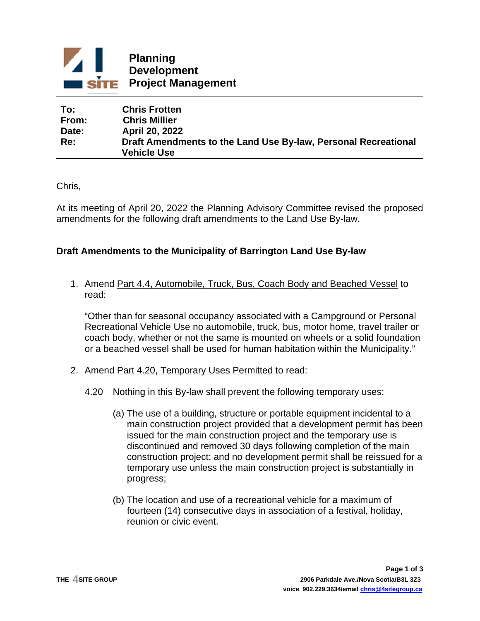

| To:   | <b>Chris Frotten</b>                                           |
|-------|----------------------------------------------------------------|
| From: | <b>Chris Millier</b>                                           |
| Date: | <b>April 20, 2022</b>                                          |
| Re:   | Draft Amendments to the Land Use By-law, Personal Recreational |
|       | <b>Vehicle Use</b>                                             |

Chris,

At its meeting of April 20, 2022 the Planning Advisory Committee revised the proposed amendments for the following draft amendments to the Land Use By-law.

# **Draft Amendments to the Municipality of Barrington Land Use By-law**

1. Amend Part 4.4, Automobile, Truck, Bus, Coach Body and Beached Vessel to read:

"Other than for seasonal occupancy associated with a Campground or Personal Recreational Vehicle Use no automobile, truck, bus, motor home, travel trailer or coach body, whether or not the same is mounted on wheels or a solid foundation or a beached vessel shall be used for human habitation within the Municipality."

- 2. Amend Part 4.20, Temporary Uses Permitted to read:
	- 4.20 Nothing in this By-law shall prevent the following temporary uses:
		- (a) The use of a building, structure or portable equipment incidental to a main construction project provided that a development permit has been issued for the main construction project and the temporary use is discontinued and removed 30 days following completion of the main construction project; and no development permit shall be reissued for a temporary use unless the main construction project is substantially in progress;
		- (b) The location and use of a recreational vehicle for a maximum of fourteen (14) consecutive days in association of a festival, holiday, reunion or civic event.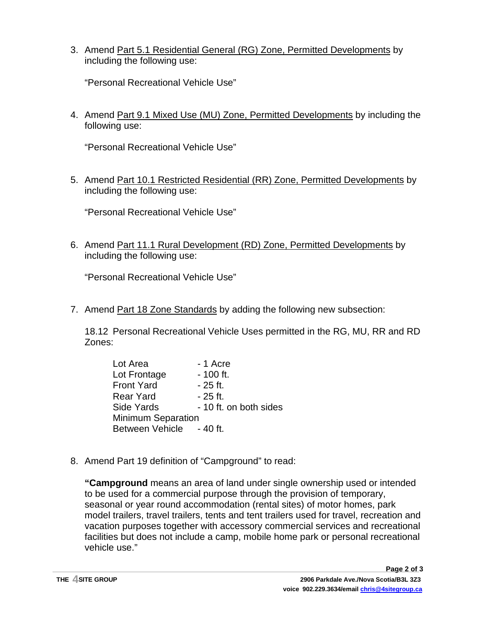3. Amend Part 5.1 Residential General (RG) Zone, Permitted Developments by including the following use:

"Personal Recreational Vehicle Use"

4. Amend Part 9.1 Mixed Use (MU) Zone, Permitted Developments by including the following use:

"Personal Recreational Vehicle Use"

5. Amend Part 10.1 Restricted Residential (RR) Zone, Permitted Developments by including the following use:

"Personal Recreational Vehicle Use"

6. Amend Part 11.1 Rural Development (RD) Zone, Permitted Developments by including the following use:

"Personal Recreational Vehicle Use"

7. Amend Part 18 Zone Standards by adding the following new subsection:

18.12 Personal Recreational Vehicle Uses permitted in the RG, MU, RR and RD Zones:

| Lot Area                  | - 1 Acre               |  |
|---------------------------|------------------------|--|
| Lot Frontage              | $-100$ ft.             |  |
| <b>Front Yard</b>         | - 25 ft.               |  |
| <b>Rear Yard</b>          | - 25 ft.               |  |
| Side Yards                | - 10 ft. on both sides |  |
| <b>Minimum Separation</b> |                        |  |
| Between Vehicle - 40 ft.  |                        |  |

8. Amend Part 19 definition of "Campground" to read:

**"Campground** means an area of land under single ownership used or intended to be used for a commercial purpose through the provision of temporary, seasonal or year round accommodation (rental sites) of motor homes, park model trailers, travel trailers, tents and tent trailers used for travel, recreation and vacation purposes together with accessory commercial services and recreational facilities but does not include a camp, mobile home park or personal recreational vehicle use."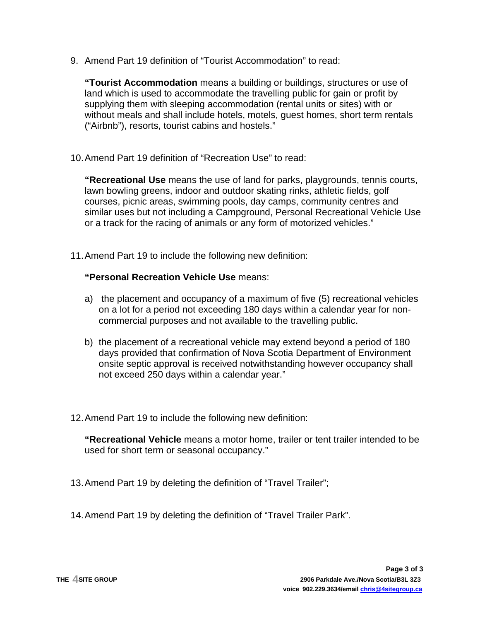9. Amend Part 19 definition of "Tourist Accommodation" to read:

**"Tourist Accommodation** means a building or buildings, structures or use of land which is used to accommodate the travelling public for gain or profit by supplying them with sleeping accommodation (rental units or sites) with or without meals and shall include hotels, motels, guest homes, short term rentals ("Airbnb"), resorts, tourist cabins and hostels."

10.Amend Part 19 definition of "Recreation Use" to read:

**"Recreational Use** means the use of land for parks, playgrounds, tennis courts, lawn bowling greens, indoor and outdoor skating rinks, athletic fields, golf courses, picnic areas, swimming pools, day camps, community centres and similar uses but not including a Campground, Personal Recreational Vehicle Use or a track for the racing of animals or any form of motorized vehicles."

11.Amend Part 19 to include the following new definition:

## **"Personal Recreation Vehicle Use** means:

- a) the placement and occupancy of a maximum of five (5) recreational vehicles on a lot for a period not exceeding 180 days within a calendar year for noncommercial purposes and not available to the travelling public.
- b) the placement of a recreational vehicle may extend beyond a period of 180 days provided that confirmation of Nova Scotia Department of Environment onsite septic approval is received notwithstanding however occupancy shall not exceed 250 days within a calendar year."
- 12.Amend Part 19 to include the following new definition:

**"Recreational Vehicle** means a motor home, trailer or tent trailer intended to be used for short term or seasonal occupancy."

- 13.Amend Part 19 by deleting the definition of "Travel Trailer";
- 14.Amend Part 19 by deleting the definition of "Travel Trailer Park".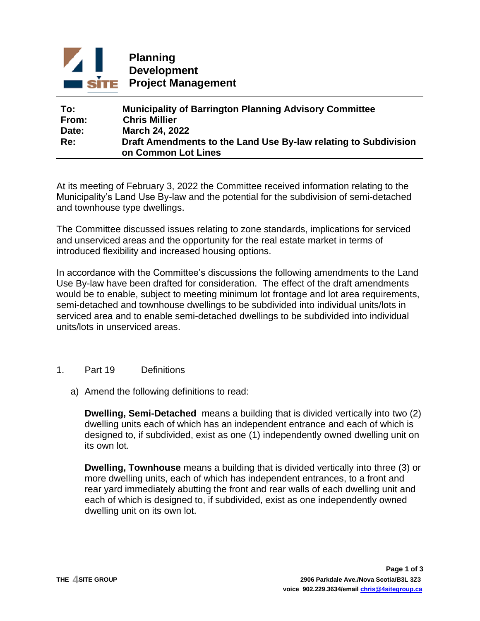

## **To: Municipality of Barrington Planning Advisory Committee From: Chris Millier Date: March 24, 2022 Re: Draft Amendments to the Land Use By-law relating to Subdivision on Common Lot Lines**

At its meeting of February 3, 2022 the Committee received information relating to the Municipality's Land Use By-law and the potential for the subdivision of semi-detached and townhouse type dwellings.

The Committee discussed issues relating to zone standards, implications for serviced and unserviced areas and the opportunity for the real estate market in terms of introduced flexibility and increased housing options.

In accordance with the Committee's discussions the following amendments to the Land Use By-law have been drafted for consideration. The effect of the draft amendments would be to enable, subject to meeting minimum lot frontage and lot area requirements, semi-detached and townhouse dwellings to be subdivided into individual units/lots in serviced area and to enable semi-detached dwellings to be subdivided into individual units/lots in unserviced areas.

- 1. Part 19 Definitions
	- a) Amend the following definitions to read:

**Dwelling, Semi-Detached** means a building that is divided vertically into two (2) dwelling units each of which has an independent entrance and each of which is designed to, if subdivided, exist as one (1) independently owned dwelling unit on its own lot.

**Dwelling, Townhouse** means a building that is divided vertically into three (3) or more dwelling units, each of which has independent entrances, to a front and rear yard immediately abutting the front and rear walls of each dwelling unit and each of which is designed to, if subdivided, exist as one independently owned dwelling unit on its own lot.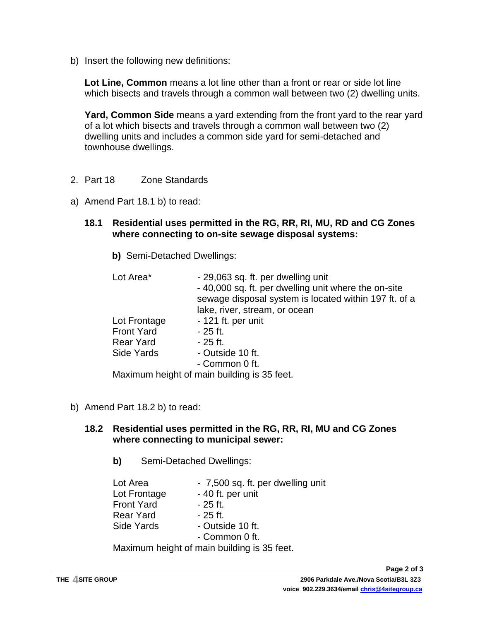b) Insert the following new definitions:

**Lot Line, Common** means a lot line other than a front or rear or side lot line which bisects and travels through a common wall between two (2) dwelling units.

**Yard, Common Side** means a yard extending from the front yard to the rear yard of a lot which bisects and travels through a common wall between two (2) dwelling units and includes a common side yard for semi-detached and townhouse dwellings.

- 2. Part 18 Zone Standards
- a) Amend Part 18.1 b) to read:
	- **18.1 Residential uses permitted in the RG, RR, RI, MU, RD and CG Zones where connecting to on-site sewage disposal systems:**
		- **b)** Semi-Detached Dwellings:

| Lot Area*         | - 29,063 sq. ft. per dwelling unit<br>-40,000 sq. ft. per dwelling unit where the on-site<br>sewage disposal system is located within 197 ft. of a |
|-------------------|----------------------------------------------------------------------------------------------------------------------------------------------------|
|                   | lake, river, stream, or ocean                                                                                                                      |
| Lot Frontage      | - 121 ft. per unit                                                                                                                                 |
| <b>Front Yard</b> | - 25 ft.                                                                                                                                           |
| <b>Rear Yard</b>  | - 25 ft.                                                                                                                                           |
| Side Yards        | - Outside 10 ft.                                                                                                                                   |
|                   | - Common 0 ft.                                                                                                                                     |
|                   | Maximum boight of main building is 35 foot                                                                                                         |

Maximum height of main building is 35 feet.

b) Amend Part 18.2 b) to read:

## **18.2 Residential uses permitted in the RG, RR, RI, MU and CG Zones where connecting to municipal sewer:**

**b)** Semi-Detached Dwellings:

| Lot Area                                    | - 7,500 sq. ft. per dwelling unit |  |
|---------------------------------------------|-----------------------------------|--|
| Lot Frontage                                | - 40 ft. per unit                 |  |
| <b>Front Yard</b>                           | $-25$ ft.                         |  |
| <b>Rear Yard</b>                            | - 25 ft.                          |  |
| Side Yards                                  | - Outside 10 ft.                  |  |
|                                             | - Common 0 ft.                    |  |
| Maximum height of main building is 35 feet. |                                   |  |